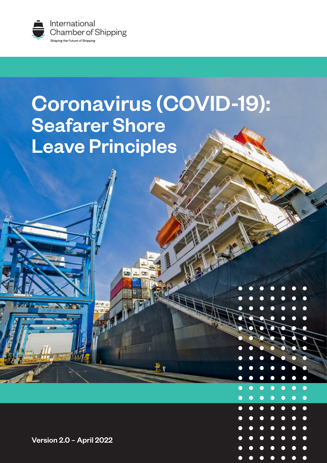

# Coronavirus (COVID-19): Seafarer Shore Leave Principles

Version 2.0 – April 2022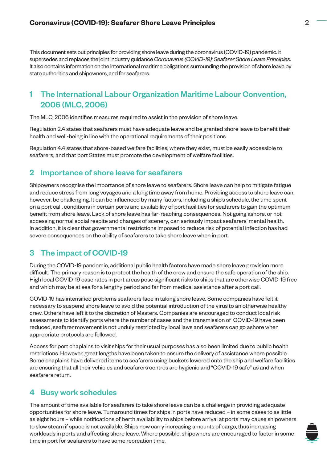This document sets out principles for providing shore leave during the coronavirus (COVID-19) pandemic. It supersedes and replaces the joint industry guidance *Coronavirus (COVID-19): Seafarer Shore Leave Principles*. It also contains information on the international maritime obligations surrounding the provision of shore leave by state authorities and shipowners, and for seafarers.

# 1 The International Labour Organization Maritime Labour Convention, 2006 (MLC, 2006)

The MLC, 2006 identifies measures required to assist in the provision of shore leave.

Regulation 2.4 states that seafarers must have adequate leave and be granted shore leave to benefit their health and well-being in line with the operational requirements of their positions.

Regulation 4.4 states that shore-based welfare facilities, where they exist, must be easily accessible to seafarers, and that port States must promote the development of welfare facilities.

## 2 Importance of shore leave for seafarers

Shipowners recognise the importance of shore leave to seafarers. Shore leave can help to mitigate fatigue and reduce stress from long voyages and a long time away from home. Providing access to shore leave can, however, be challenging. It can be influenced by many factors, including a ship's schedule, the time spent on a port call, conditions in certain ports and availability of port facilities for seafarers to gain the optimum benefit from shore leave. Lack of shore leave has far-reaching consequences. Not going ashore, or not accessing normal social respite and changes of scenery, can seriously impact seafarers' mental health. In addition, it is clear that governmental restrictions imposed to reduce risk of potential infection has had severe consequences on the ability of seafarers to take shore leave when in port.

# 3 The impact of COVID-19

During the COVID-19 pandemic, additional public health factors have made shore leave provision more difficult. The primary reason is to protect the health of the crew and ensure the safe operation of the ship. High local COVID-19 case rates in port areas pose significant risks to ships that are otherwise COVID-19 free and which may be at sea for a lengthy period and far from medical assistance after a port call.

COVID-19 has intensified problems seafarers face in taking shore leave. Some companies have felt it necessary to suspend shore leave to avoid the potential introduction of the virus to an otherwise healthy crew. Others have left it to the discretion of Masters. Companies are encouraged to conduct local risk assessments to identify ports where the number of cases and the transmission of COVID-19 have been reduced, seafarer movement is not unduly restricted by local laws and seafarers can go ashore when appropriate protocols are followed.

Access for port chaplains to visit ships for their usual purposes has also been limited due to public health restrictions. However, great lengths have been taken to ensure the delivery of assistance where possible. Some chaplains have delivered items to seafarers using buckets lowered onto the ship and welfare facilities are ensuring that all their vehicles and seafarers centres are hygienic and "COVID-19 safe" as and when seafarers return.

## 4 Busy work schedules

The amount of time available for seafarers to take shore leave can be a challenge in providing adequate opportunities for shore leave. Turnaround times for ships in ports have reduced – in some cases to as little as eight hours – while notifications of berth availability to ships before arrival at ports may cause shipowners to slow steam if space is not available. Ships now carry increasing amounts of cargo, thus increasing workloads in ports and affecting shore leave. Where possible, shipowners are encouraged to factor in some time in port for seafarers to have some recreation time.

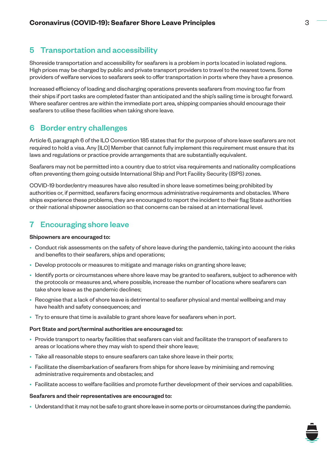# 5 Transportation and accessibility

Shoreside transportation and accessibility for seafarers is a problem in ports located in isolated regions. High prices may be charged by public and private transport providers to travel to the nearest towns. Some providers of welfare services to seafarers seek to offer transportation in ports where they have a presence.

Increased efficiency of loading and discharging operations prevents seafarers from moving too far from their ships if port tasks are completed faster than anticipated and the ship's sailing time is brought forward. Where seafarer centres are within the immediate port area, shipping companies should encourage their seafarers to utilise these facilities when taking shore leave.

# 6 Border entry challenges

Article 6, paragraph 6 of the ILO Convention 185 states that for the purpose of shore leave seafarers are not required to hold a visa. Any [ILO] Member that cannot fully implement this requirement must ensure that its laws and regulations or practice provide arrangements that are substantially equivalent.

Seafarers may not be permitted into a country due to strict visa requirements and nationality complications often preventing them going outside International Ship and Port Facility Security (ISPS) zones.

COVID-19 border/entry measures have also resulted in shore leave sometimes being prohibited by authorities or, if permitted, seafarers facing enormous administrative requirements and obstacles. Where ships experience these problems, they are encouraged to report the incident to their flag State authorities or their national shipowner association so that concerns can be raised at an international level.

# 7 Encouraging shore leave

## Shipowners are encouraged to:

- Conduct risk assessments on the safety of shore leave during the pandemic, taking into account the risks and benefits to their seafarers, ships and operations;
- Develop protocols or measures to mitigate and manage risks on granting shore leave;
- Identify ports or circumstances where shore leave may be granted to seafarers, subject to adherence with the protocols or measures and, where possible, increase the number of locations where seafarers can take shore leave as the pandemic declines;
- Recognise that a lack of shore leave is detrimental to seafarer physical and mental wellbeing and may have health and safety consequences; and
- Try to ensure that time is available to grant shore leave for seafarers when in port.

## Port State and port/terminal authorities are encouraged to:

- Provide transport to nearby facilities that seafarers can visit and facilitate the transport of seafarers to areas or locations where they may wish to spend their shore leave;
- Take all reasonable steps to ensure seafarers can take shore leave in their ports;
- Facilitate the disembarkation of seafarers from ships for shore leave by minimising and removing administrative requirements and obstacles; and
- Facilitate access to welfare facilities and promote further development of their services and capabilities.

#### Seafarers and their representatives are encouraged to:

• Understand that it may not be safe to grant shore leave in some ports or circumstances during the pandemic.